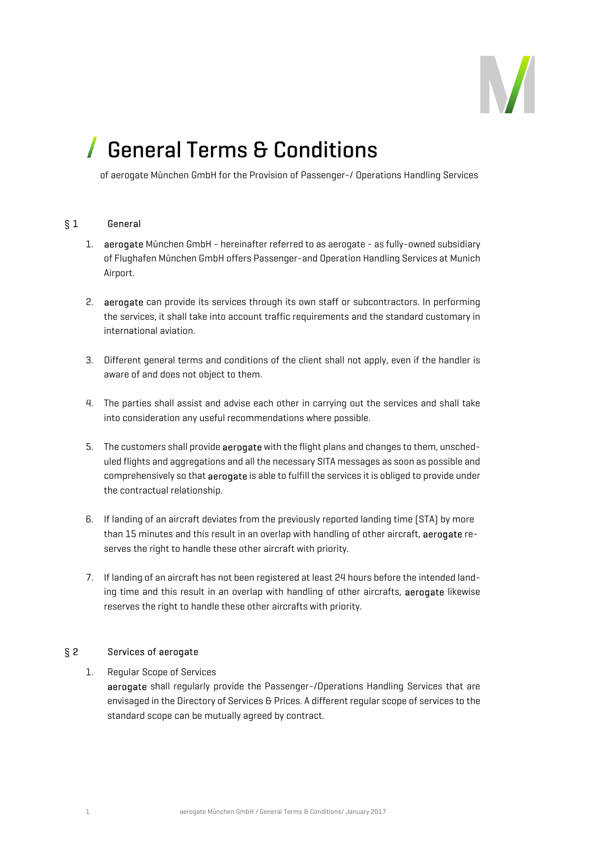

of aerogate München GmbH for the Provision of Passenger-/ Operations Handling Services

## § 1 General

- 1. aerogate München GmbH hereinafter referred to as aerogate as fully-owned subsidiary of Flughafen München GmbH offers Passenger-and Operation Handling Services at Munich Airport.
- 2. **aerogate** can provide its services through its own staff or subcontractors. In performing the services, it shall take into account traffic requirements and the standard customary in international aviation.
- 3. Different general terms and conditions of the client shall not apply, even if the handler is aware of and does not object to them.
- 4. The parties shall assist and advise each other in carrying out the services and shall take into consideration any useful recommendations where possible.
- 5. The customers shall provide **aerogate** with the flight plans and changes to them, unscheduled flights and aggregations and all the necessary SITA messages as soon as possible and comprehensively so that aerogate is able to fulfill the services it is obliged to provide under the contractual relationship.
- 6. If landing of an aircraft deviates from the previously reported landing time (STA) by more than 15 minutes and this result in an overlap with handling of other aircraft, aerogate reserves the right to handle these other aircraft with priority.
- 7. If landing of an aircraft has not been registered at least 24 hours before the intended landing time and this result in an overlap with handling of other aircrafts, aerogate likewise reserves the right to handle these other aircrafts with priority.

### § 2 Services of aerogate

- 1. Regular Scope of Services
	- aerogate shall regularly provide the Passenger-/Operations Handling Services that are envisaged in the Directory of Services & Prices. A different regular scope of services to the standard scope can be mutually agreed by contract.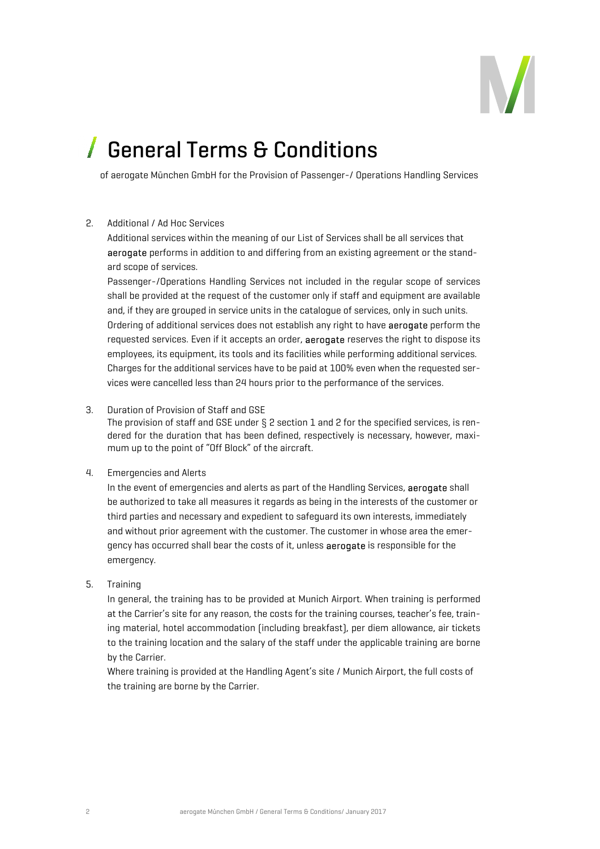

of aerogate München GmbH for the Provision of Passenger-/ Operations Handling Services

### 2. Additional / Ad Hoc Services

Additional services within the meaning of our List of Services shall be all services that aerogate performs in addition to and differing from an existing agreement or the standard scope of services.

Passenger-/Operations Handling Services not included in the regular scope of services shall be provided at the request of the customer only if staff and equipment are available and, if they are grouped in service units in the catalogue of services, only in such units. Ordering of additional services does not establish any right to have **aerogate** perform the requested services. Even if it accepts an order, **aerogate** reserves the right to dispose its employees, its equipment, its tools and its facilities while performing additional services. Charges for the additional services have to be paid at 100% even when the requested services were cancelled less than 24 hours prior to the performance of the services.

#### 3. Duration of Provision of Staff and GSE

The provision of staff and GSE under § 2 section 1 and 2 for the specified services, is rendered for the duration that has been defined, respectively is necessary, however, maximum up to the point of "Off Block" of the aircraft.

### 4. Emergencies and Alerts

In the event of emergencies and alerts as part of the Handling Services, aerogate shall be authorized to take all measures it regards as being in the interests of the customer or third parties and necessary and expedient to safeguard its own interests, immediately and without prior agreement with the customer. The customer in whose area the emergency has occurred shall bear the costs of it, unless **aerogate** is responsible for the emergency.

### 5. Training

In general, the training has to be provided at Munich Airport. When training is performed at the Carrier's site for any reason, the costs for the training courses, teacher's fee, training material, hotel accommodation (including breakfast), per diem allowance, air tickets to the training location and the salary of the staff under the applicable training are borne by the Carrier.

Where training is provided at the Handling Agent's site / Munich Airport, the full costs of the training are borne by the Carrier.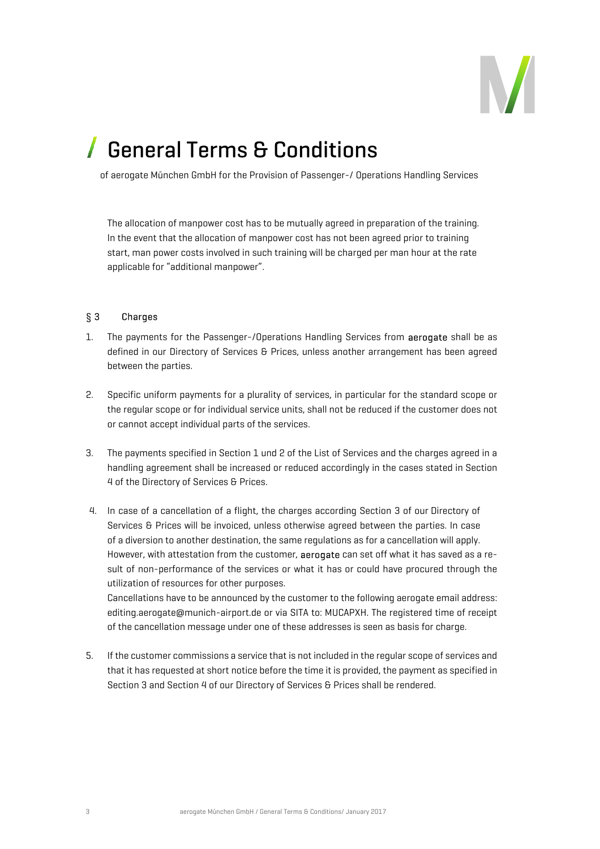

of aerogate München GmbH for the Provision of Passenger-/ Operations Handling Services

The allocation of manpower cost has to be mutually agreed in preparation of the training. In the event that the allocation of manpower cost has not been agreed prior to training start, man power costs involved in such training will be charged per man hour at the rate applicable for "additional manpower".

### § 3 Charges

- 1. The payments for the Passenger-/Operations Handling Services from **aerogate** shall be as defined in our Directory of Services & Prices, unless another arrangement has been agreed between the parties.
- 2. Specific uniform payments for a plurality of services, in particular for the standard scope or the regular scope or for individual service units, shall not be reduced if the customer does not or cannot accept individual parts of the services.
- 3. The payments specified in Section 1 und 2 of the List of Services and the charges agreed in a handling agreement shall be increased or reduced accordingly in the cases stated in Section 4 of the Directory of Services & Prices.
- 4. In case of a cancellation of a flight, the charges according Section 3 of our Directory of Services & Prices will be invoiced, unless otherwise agreed between the parties. In case of a diversion to another destination, the same regulations as for a cancellation will apply. However, with attestation from the customer, **aerogate** can set off what it has saved as a result of non-performance of the services or what it has or could have procured through the utilization of resources for other purposes. Cancellations have to be announced by the customer to the following aerogate email address:

editing.aerogate@munich-airport.de or via SITA to: MUCAPXH. The registered time of receipt of the cancellation message under one of these addresses is seen as basis for charge.

5. If the customer commissions a service that is not included in the regular scope of services and that it has requested at short notice before the time it is provided, the payment as specified in Section 3 and Section 4 of our Directory of Services & Prices shall be rendered.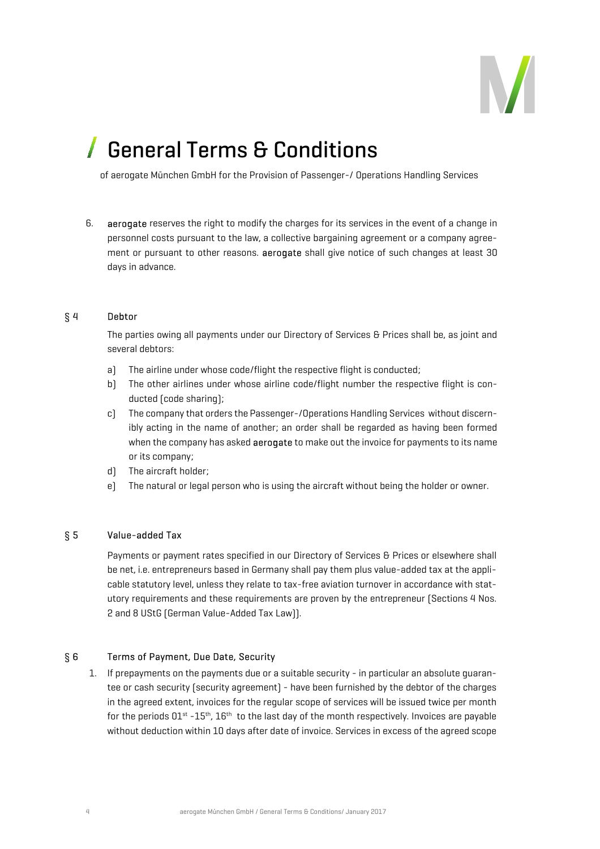

of aerogate München GmbH for the Provision of Passenger-/ Operations Handling Services

6. aerogate reserves the right to modify the charges for its services in the event of a change in personnel costs pursuant to the law, a collective bargaining agreement or a company agreement or pursuant to other reasons. **aerogate** shall give notice of such changes at least 30 days in advance.

### § 4 Debtor

The parties owing all payments under our Directory of Services & Prices shall be, as joint and several debtors:

- a) The airline under whose code/flight the respective flight is conducted;
- b) The other airlines under whose airline code/flight number the respective flight is conducted (code sharing);
- c) The company that orders the Passenger-/Operations Handling Services without discernibly acting in the name of another; an order shall be regarded as having been formed when the company has asked **aerogate** to make out the invoice for payments to its name or its company;
- d) The aircraft holder;
- e) The natural or legal person who is using the aircraft without being the holder or owner.

### § 5 Value-added Tax

Payments or payment rates specified in our Directory of Services & Prices or elsewhere shall be net, i.e. entrepreneurs based in Germany shall pay them plus value-added tax at the applicable statutory level, unless they relate to tax-free aviation turnover in accordance with statutory requirements and these requirements are proven by the entrepreneur (Sections 4 Nos. 2 and 8 UStG (German Value-Added Tax Law)).

### § 6 Terms of Payment, Due Date, Security

1. If prepayments on the payments due or a suitable security - in particular an absolute guarantee or cash security (security agreement) - have been furnished by the debtor of the charges in the agreed extent, invoices for the regular scope of services will be issued twice per month for the periods  $01<sup>st</sup> - 15<sup>th</sup>$ ,  $16<sup>th</sup>$  to the last day of the month respectively. Invoices are payable without deduction within 10 days after date of invoice. Services in excess of the agreed scope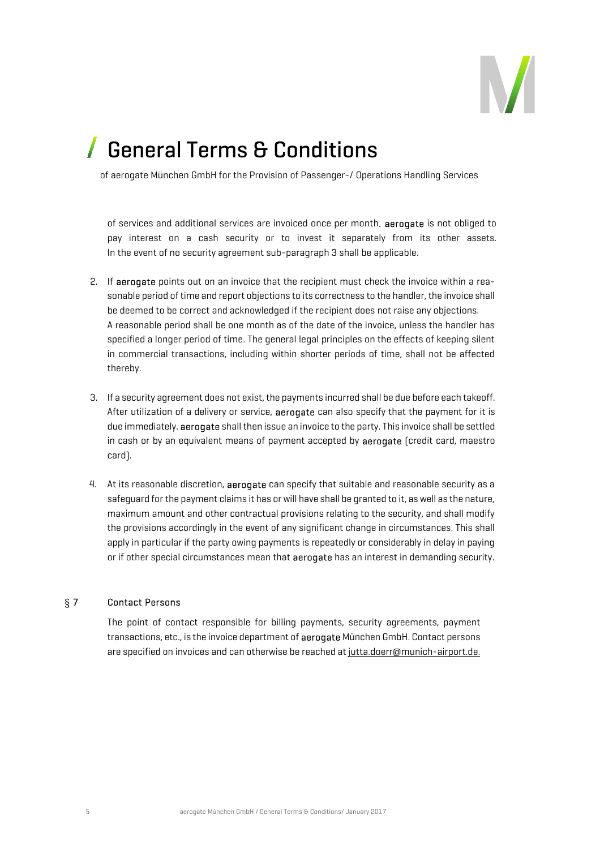

of aerogate München GmbH for the Provision of Passenger-/ Operations Handling Services

of services and additional services are invoiced once per month. aerogate is not obliged to pay interest on a cash security or to invest it separately from its other assets. In the event of no security agreement sub-paragraph 3 shall be applicable.

- 2. If aerogate points out on an invoice that the recipient must check the invoice within a reasonable period of time and report objections to its correctness to the handler, the invoice shall be deemed to be correct and acknowledged if the recipient does not raise any objections. A reasonable period shall be one month as of the date of the invoice, unless the handler has specified a longer period of time. The general legal principles on the effects of keeping silent in commercial transactions, including within shorter periods of time, shall not be affected thereby.
- 3. If a security agreement does not exist, the payments incurred shall be due before each takeoff. After utilization of a delivery or service, aerogate can also specify that the payment for it is due immediately. aerogate shall then issue an invoice to the party. This invoice shall be settled in cash or by an equivalent means of payment accepted by aerogate (credit card, maestro card).
- 4. At its reasonable discretion, **aerogate** can specify that suitable and reasonable security as a safeguard for the payment claims it has or will have shall be granted to it, as well as the nature, maximum amount and other contractual provisions relating to the security, and shall modify the provisions accordingly in the event of any significant change in circumstances. This shall apply in particular if the party owing payments is repeatedly or considerably in delay in paying or if other special circumstances mean that **aerogate** has an interest in demanding security.

## § 7 Contact Persons

The point of contact responsible for billing payments, security agreements, payment transactions, etc., is the invoice department of **aerogate** München GmbH. Contact persons are specified on invoices and can otherwise be reached at jutta.doerr@munich-airport.de.